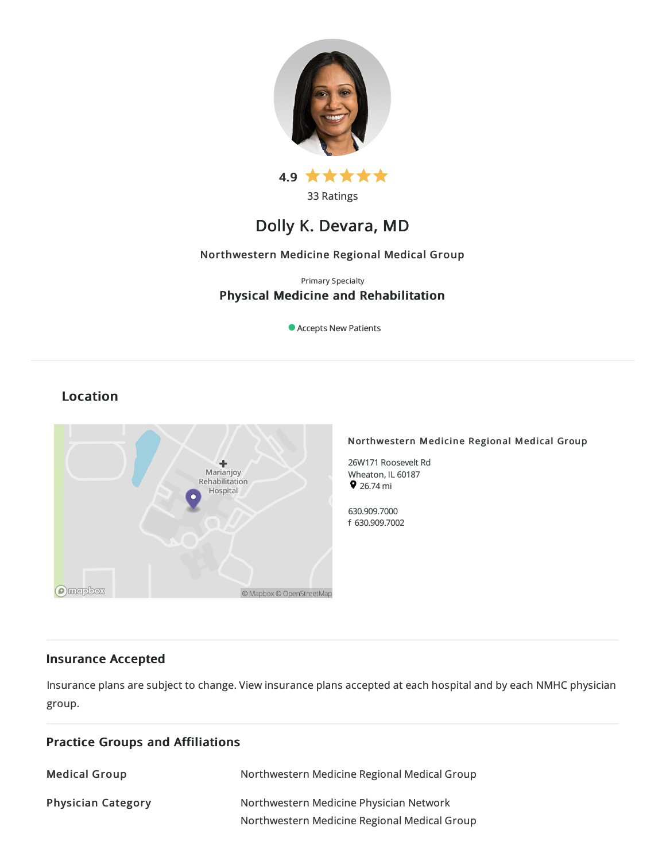



33 Ratings

# Dolly K. Devara, MD

# Northwestern Medicine Regional Medical Group

# Primary Specialty Physical Medicine and Rehabilitation

Accepts New Patients

# Location



### Northwestern Medicine Regional Medical Group

26W171 Roosevelt Rd Wheaton, IL 60187  $926.74 \text{ mi}$ 

630.909.7000 f 630.909.7002

# Insurance Accepted

Insurance plans are subject to change. View [insurance](https://www.nm.org/patients-and-visitors/billing-and-insurance/insurance-information/accepted-insurance-plans) plans accepted at each hospital and by each NMHC physician group.

| <b>Practice Groups and Affiliations</b> |                                                                                         |  |
|-----------------------------------------|-----------------------------------------------------------------------------------------|--|
| <b>Medical Group</b>                    | Northwestern Medicine Regional Medical Group                                            |  |
| <b>Physician Category</b>               | Northwestern Medicine Physician Network<br>Northwestern Medicine Regional Medical Group |  |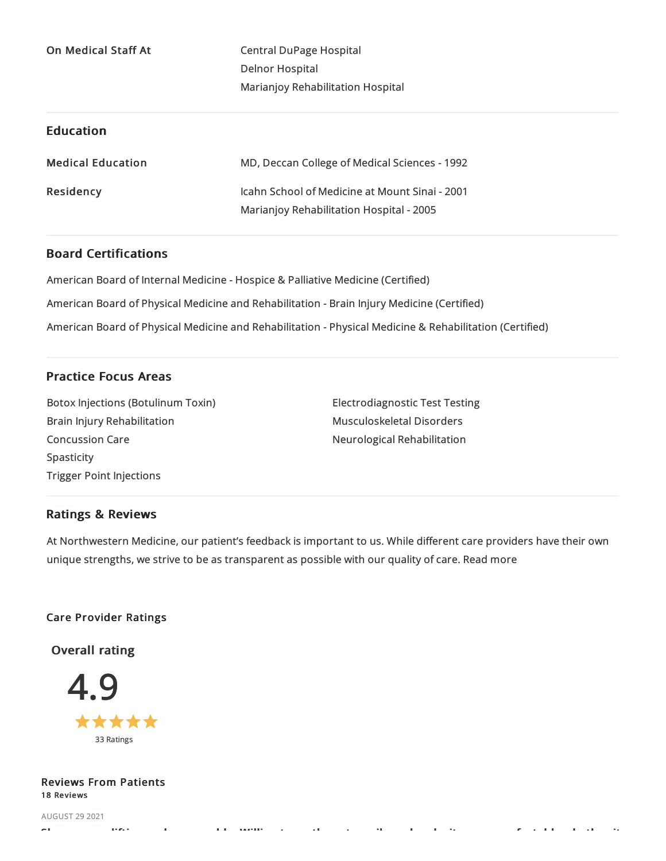On Medical Staff At Central DuPage Hospital Delnor Hospital Marianjoy Rehabilitation Hospital

# Education

| <b>Medical Education</b> | MD, Deccan College of Medical Sciences - 1992  |
|--------------------------|------------------------------------------------|
| Residency                | Icahn School of Medicine at Mount Sinai - 2001 |
|                          | Marianjoy Rehabilitation Hospital - 2005       |

# Board Certifications

American Board of Internal Medicine- Hospice & Palliative Medicine(Certified) American Board of Physical Medicine and Rehabilitation - Brain Injury Medicine (Certified) American Board of Physical Medicine and Rehabilitation - Physical Medicine & Rehabilitation (Certified)

# Practice Focus Areas

BotoxInjections (Botulinum Toxin) Brain Injury Rehabilitation Concussion Care Spasticity Trigger Point Injections

**Electrodiagnostic Test Testing** Musculoskeletal Disorders Neurological Rehabilitation

# Ratings & Reviews

At Northwestern Medicine, our patient's feedback is important to us. While different care providers have their own unique strengths, we strive to be as transparent as possible with our quality of care. Read more

### Care Provider Ratings

Overall rating



### Reviews From Patients 18 Reviews

AUGUST 29 2021 Shes very uplifting and personable. Willing to go the extra mile and make it more comfortable whether it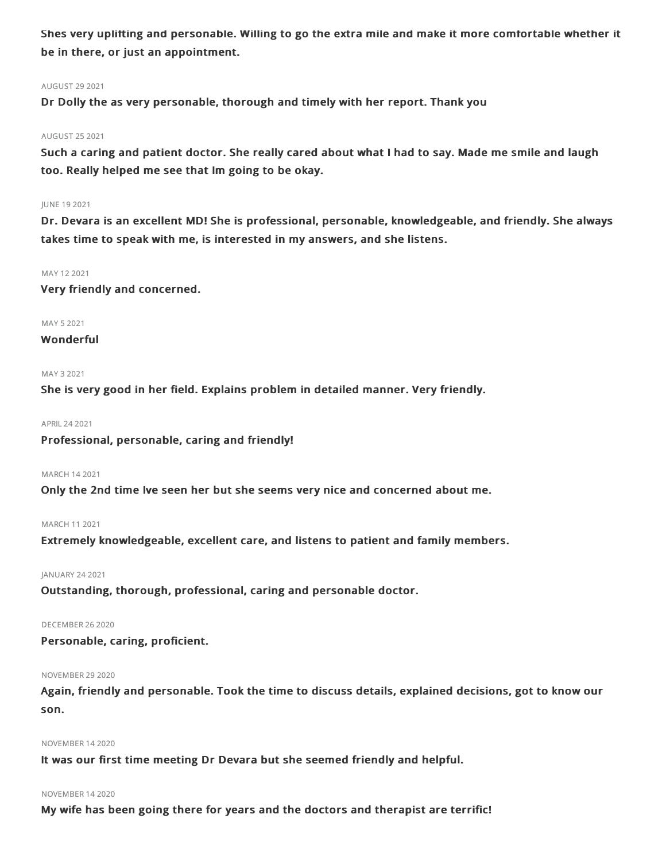Shes very uplifting and personable. Willing to go the extra mile and make it more comfortable whether it be in there, or just an appointment.

#### AUGUST 29 2021

Dr Dolly the as very personable, thorough and timely with her report. Thank you

### AUGUST 252021

Such a caring and patient doctor. She really cared about what I had to say. Made me smile and laugh too. Really helped me see that Im going to be okay.

#### JUNE 192021

Dr. Devara is an excellent MD! She is professional, personable, knowledgeable, and friendly. She always takes time to speak with me, is interested in my answers, and she listens.

#### MAY 122021

Very friendly and concerned.

MAY 5 2021

### Wonderful

#### MAY 32021

She is very good in her field. Explains problem in detailed manner. Very friendly.

APRIL242021

Professional, personable, caring and friendly!

### MARCH 142021

Only the 2nd time Ive seen her but she seems very nice and concerned about me.

### MARCH 112021

Extremely knowledgeable, excellent care, and listens to patient and family members.

### JANUARY 242021

Outstanding, thorough, professional, caring and personable doctor.

#### DECEMBER 262020

Personable, caring, proficient.

#### **NOVEMBER 29 2020**

Again, friendly and personable. Took the time to discuss details, explained decisions, got to know our son.

#### NOVEMBER 142020

It was our first time meeting Dr Devara but she seemed friendly and helpful.

#### NOVEMBER 142020

My wife has been going there for years and the doctors and therapist are terrific!